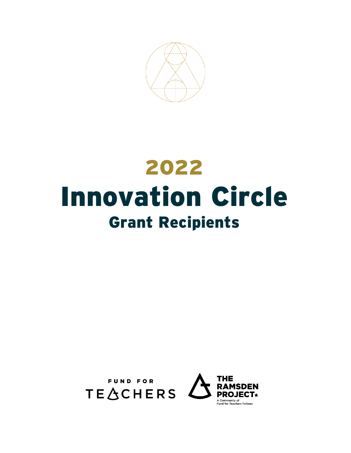

# 2022 Innovation Circle Grant Recipients



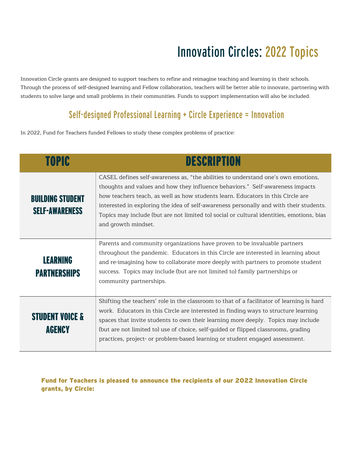## Innovation Circles: 2022 Topics

Innovation Circle grants are designed to support teachers to refine and reimagine teaching and learning in their schools. Through the process of self-designed learning and Fellow collaboration, teachers will be better able to innovate, partnering with students to solve large and small problems in their communities. Funds to support implementation will also be included.

### Self-designed Professional Learning + Circle Experience = Innovation

In 2022, Fund for Teachers funded Fellows to study these complex problems of practice:

| <b>TOPIC</b>                                     | <b>DESCRIPTION</b>                                                                                                                                                                                                                                                                                                                                                                                                                                                  |
|--------------------------------------------------|---------------------------------------------------------------------------------------------------------------------------------------------------------------------------------------------------------------------------------------------------------------------------------------------------------------------------------------------------------------------------------------------------------------------------------------------------------------------|
| <b>BUILDING STUDENT</b><br><b>SELF-AWARENESS</b> | CASEL defines self-awareness as, "the abilities to understand one's own emotions,<br>thoughts and values and how they influence behaviors." Self-awareness impacts<br>how teachers teach, as well as how students learn. Educators in this Circle are<br>interested in exploring the idea of self-awareness personally and with their students.<br>Topics may include (but are not limited to) social or cultural identities, emotions, bias<br>and growth mindset. |
| <b>LEARNING</b><br><b>PARTNERSHIPS</b>           | Parents and community organizations have proven to be invaluable partners<br>throughout the pandemic. Educators in this Circle are interested in learning about<br>and re-imagining how to collaborate more deeply with partners to promote student<br>success. Topics may include (but are not limited to) family partnerships or<br>community partnerships.                                                                                                       |
| <b>STUDENT VOICE &amp;</b><br>AGENCY             | Shifting the teachers' role in the classroom to that of a facilitator of learning is hard<br>work. Educators in this Circle are interested in finding ways to structure learning<br>spaces that invite students to own their learning more deeply. Topics may include<br>(but are not limited to) use of choice, self-quided or flipped classrooms, grading<br>practices, project- or problem-based learning or student engaged assessment.                         |

Fund for Teachers is pleased to announce the recipients of our 2022 Innovation Circle grants, by Circle: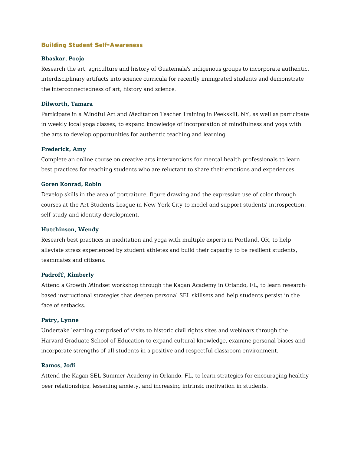#### Building Student Self-Awareness

#### **Bhaskar, Pooja**

Research the art, agriculture and history of Guatemala's indigenous groups to incorporate authentic, interdisciplinary artifacts into science curricula for recently immigrated students and demonstrate the interconnectedness of art, history and science.

#### **Dilworth, Tamara**

Participate in a Mindful Art and Meditation Teacher Training in Peekskill, NY, as well as participate in weekly local yoga classes, to expand knowledge of incorporation of mindfulness and yoga with the arts to develop opportunities for authentic teaching and learning.

#### **Frederick, Amy**

Complete an online course on creative arts interventions for mental health professionals to learn best practices for reaching students who are reluctant to share their emotions and experiences.

#### **Goren Konrad, Robin**

Develop skills in the area of portraiture, figure drawing and the expressive use of color through courses at the Art Students League in New York City to model and support students' introspection, self study and identity development.

#### **Hutchinson, Wendy**

Research best practices in meditation and yoga with multiple experts in Portland, OR, to help alleviate stress experienced by student-athletes and build their capacity to be resilient students, teammates and citizens.

#### **Padroff, Kimberly**

Attend a Growth Mindset workshop through the Kagan Academy in Orlando, FL, to learn researchbased instructional strategies that deepen personal SEL skillsets and help students persist in the face of setbacks.

#### **Patry, Lynne**

Undertake learning comprised of visits to historic civil rights sites and webinars through the Harvard Graduate School of Education to expand cultural knowledge, examine personal biases and incorporate strengths of all students in a positive and respectful classroom environment.

#### **Ramos, Jodi**

Attend the Kagan SEL Summer Academy in Orlando, FL, to learn strategies for encouraging healthy peer relationships, lessening anxiety, and increasing intrinsic motivation in students.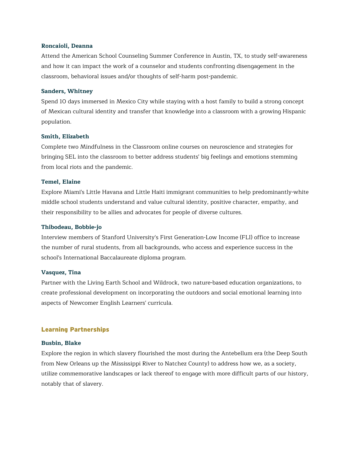#### **Roncaioli, Deanna**

Attend the American School Counseling Summer Conference in Austin, TX, to study self-awareness and how it can impact the work of a counselor and students confronting disengagement in the classroom, behavioral issues and/or thoughts of self-harm post-pandemic.

#### **Sanders, Whitney**

Spend 10 days immersed in Mexico City while staying with a host family to build a strong concept of Mexican cultural identity and transfer that knowledge into a classroom with a growing Hispanic population.

#### **Smith, Elizabeth**

Complete two Mindfulness in the Classroom online courses on neuroscience and strategies for bringing SEL into the classroom to better address students' big feelings and emotions stemming from local riots and the pandemic.

#### **Temel, Elaine**

Explore Miami's Little Havana and Little Haiti immigrant communities to help predominantly-white middle school students understand and value cultural identity, positive character, empathy, and their responsibility to be allies and advocates for people of diverse cultures.

#### **Thibodeau, Bobbie-jo**

Interview members of Stanford University's First Generation-Low Income (FLI) office to increase the number of rural students, from all backgrounds, who access and experience success in the school's International Baccalaureate diploma program.

#### **Vasquez, Tina**

Partner with the Living Earth School and Wildrock, two nature-based education organizations, to create professional development on incorporating the outdoors and social emotional learning into aspects of Newcomer English Learners' curricula.

#### Learning Partnerships

#### **Busbin, Blake**

Explore the region in which slavery flourished the most during the Antebellum era (the Deep South from New Orleans up the Mississippi River to Natchez County) to address how we, as a society, utilize commemorative landscapes or lack thereof to engage with more difficult parts of our history, notably that of slavery.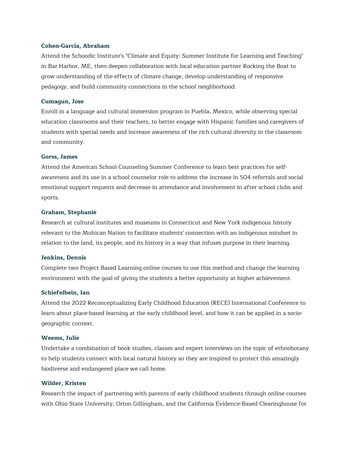#### **Cohen-Garcia, Abraham**

Attend the Schoodic Institute's "Climate and Equity: Summer Institute for Learning and Teaching" in Bar Harbor, ME, then deepen collaboration with local education partner Rocking the Boat to grow understanding of the effects of climate change, develop understanding of responsive pedagogy, and build community connections in the school neighborhood.

#### **Cumagun, Jose**

Enroll in a language and cultural immersion program in Puebla, Mexico, while observing special education classrooms and their teachers, to better engage with Hispanic families and caregivers of students with special needs and increase awareness of the rich cultural diversity in the classroom and community.

#### **Gorss, James**

Attend the American School Counseling Summer Conference to learn best practices for selfawareness and its use in a school counselor role to address the increase in 504 referrals and social emotional support requests and decrease in attendance and involvement in after school clubs and sports.

#### **Graham, Stephanie**

Research at cultural institutes and museums in Connecticut and New York indigenous history relevant to the Mohican Nation to facilitate students' connection with an indigenous mindset in relation to the land, its people, and its history in a way that infuses purpose in their learning.

#### **Jenkins, Dennis**

Complete two Project Based Learning online courses to use this method and change the learning environment with the goal of giving the students a better opportunity at higher achievement.

#### **Schiefelbein, Ian**

Attend the 2022 Reconceptualizing Early Childhood Education (RECE) International Conference to learn about place-based learning at the early childhood level, and how it can be applied in a sociogeographic context.

#### **Weems, Julie**

Undertake a combination of book studies, classes and expert interviews on the topic of ethnobotany to help students connect with local natural history so they are inspired to protect this amazingly biodiverse and endangered place we call home.

#### **Wilder, Kristen**

Research the impact of partnering with parents of early childhood students through online courses with Ohio State University, Orton Gillingham, and the California Evidence-Based Clearinghouse for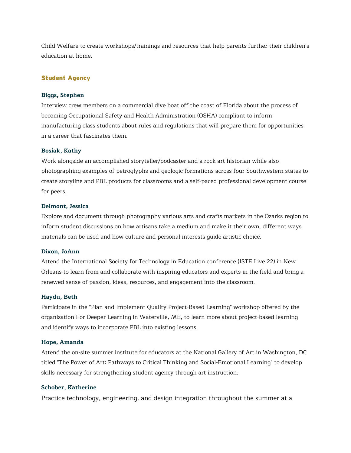Child Welfare to create workshops/trainings and resources that help parents further their children's education at home.

#### Student Agency

#### **Biggs, Stephen**

Interview crew members on a commercial dive boat off the coast of Florida about the process of becoming Occupational Safety and Health Administration (OSHA) compliant to inform manufacturing class students about rules and regulations that will prepare them for opportunities in a career that fascinates them.

#### **Bosiak, Kathy**

Work alongside an accomplished storyteller/podcaster and a rock art historian while also photographing examples of petroglyphs and geologic formations across four Southwestern states to create storyline and PBL products for classrooms and a self-paced professional development course for peers.

#### **Delmont, Jessica**

Explore and document through photography various arts and crafts markets in the Ozarks region to inform student discussions on how artisans take a medium and make it their own, different ways materials can be used and how culture and personal interests guide artistic choice.

#### **Dixon, JoAnn**

Attend the International Society for Technology in Education conference (ISTE Live 22) in New Orleans to learn from and collaborate with inspiring educators and experts in the field and bring a renewed sense of passion, ideas, resources, and engagement into the classroom.

#### **Haydu, Beth**

Participate in the "Plan and Implement Quality Project-Based Learning" workshop offered by the organization For Deeper Learning in Waterville, ME, to learn more about project-based learning and identify ways to incorporate PBL into existing lessons.

#### **Hope, Amanda**

Attend the on-site summer institute for educators at the National Gallery of Art in Washington, DC titled "The Power of Art: Pathways to Critical Thinking and Social-Emotional Learning" to develop skills necessary for strengthening student agency through art instruction.

#### **Schober, Katherine**

Practice technology, engineering, and design integration throughout the summer at a